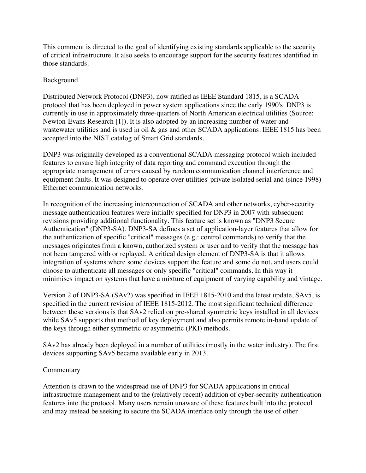This comment is directed to the goal of identifying existing standards applicable to the security of critical infrastructure. It also seeks to encourage support for the security features identified in those standards.

## Background

Distributed Network Protocol (DNP3), now ratified as IEEE Standard 1815, is a SCADA protocol that has been deployed in power system applications since the early 1990's. DNP3 is currently in use in approximately three-quarters of North American electrical utilities (Source: Newton-Evans Research [1]). It is also adopted by an increasing number of water and wastewater utilities and is used in oil & gas and other SCADA applications. IEEE 1815 has been accepted into the NIST catalog of Smart Grid standards.

DNP3 was originally developed as a conventional SCADA messaging protocol which included features to ensure high integrity of data reporting and command execution through the appropriate management of errors caused by random communication channel interference and equipment faults. It was designed to operate over utilities' private isolated serial and (since 1998) Ethernet communication networks.

 the authentication of specific "critical" messages (e.g.: control commands) to verify that the In recognition of the increasing interconnection of SCADA and other networks, cyber-security message authentication features were initially specified for DNP3 in 2007 with subsequent revisions providing additional functionality. This feature set is known as "DNP3 Secure Authentication" (DNP3-SA). DNP3-SA defines a set of application-layer features that allow for messages originates from a known, authorized system or user and to verify that the message has not been tampered with or replayed. A critical design element of DNP3-SA is that it allows integration of systems where some devices support the feature and some do not, and users could choose to authenticate all messages or only specific "critical" commands. In this way it minimises impact on systems that have a mixture of equipment of varying capability and vintage.

Version 2 of DNP3-SA (SAv2) was specified in IEEE 1815-2010 and the latest update, SAv5, is specified in the current revision of IEEE 1815-2012. The most significant technical difference between these versions is that SAv2 relied on pre-shared symmetric keys installed in all devices while SAv5 supports that method of key deployment and also permits remote in-band update of the keys through either symmetric or asymmetric (PKI) methods.

SAv2 has already been deployed in a number of utilities (mostly in the water industry). The first devices supporting SAv5 became available early in 2013.

## Commentary

Attention is drawn to the widespread use of DNP3 for SCADA applications in critical infrastructure management and to the (relatively recent) addition of cyber-security authentication features into the protocol. Many users remain unaware of these features built into the protocol and may instead be seeking to secure the SCADA interface only through the use of other